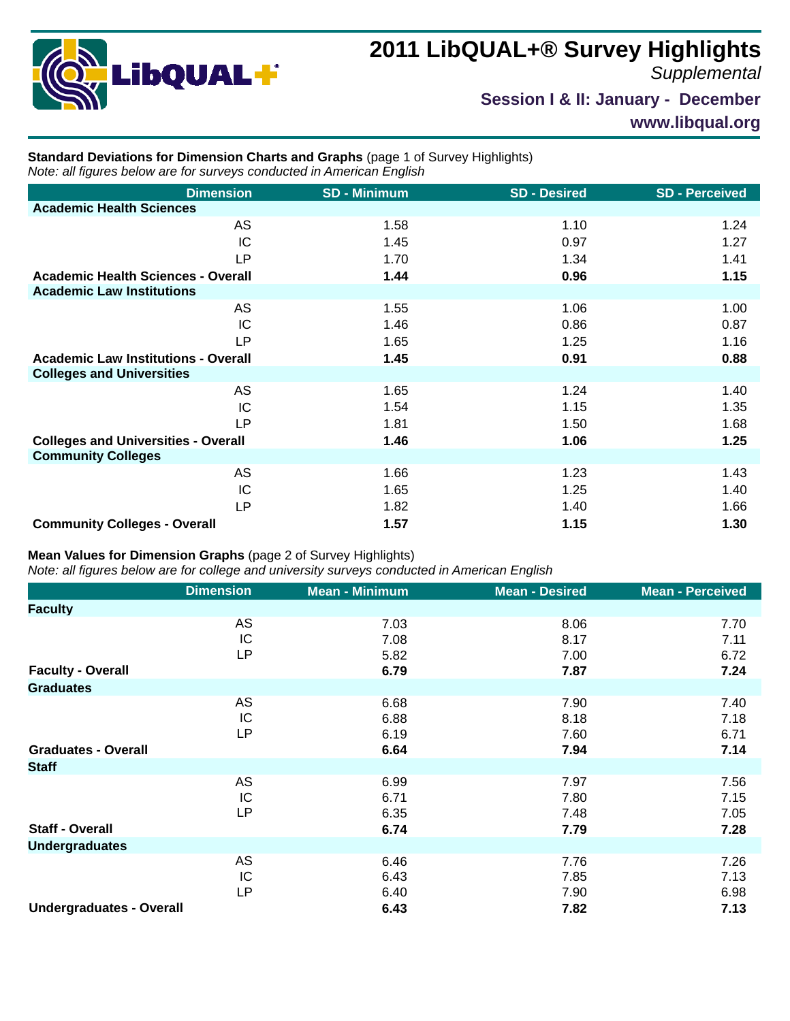

## **2011 LibQUAL+® Survey Highlights**

*Supplemental*

**Session I & II: January - December**

**www.libqual.org**

## **Standard Deviations for Dimension Charts and Graphs** (page 1 of Survey Highlights) *Note: all figures below are for surveys conducted in American English*

| <b>Dimension</b>                           | <b>SD - Minimum</b> | <b>SD - Desired</b> | <b>SD-Perceived</b> |
|--------------------------------------------|---------------------|---------------------|---------------------|
| <b>Academic Health Sciences</b>            |                     |                     |                     |
| AS                                         | 1.58                | 1.10                | 1.24                |
| IC                                         | 1.45                | 0.97                | 1.27                |
| LP                                         | 1.70                | 1.34                | 1.41                |
| <b>Academic Health Sciences - Overall</b>  | 1.44                | 0.96                | 1.15                |
| <b>Academic Law Institutions</b>           |                     |                     |                     |
| AS                                         | 1.55                | 1.06                | 1.00                |
| IC                                         | 1.46                | 0.86                | 0.87                |
| <b>LP</b>                                  | 1.65                | 1.25                | 1.16                |
| <b>Academic Law Institutions - Overall</b> | 1.45                | 0.91                | 0.88                |
| <b>Colleges and Universities</b>           |                     |                     |                     |
| AS                                         | 1.65                | 1.24                | 1.40                |
| IC                                         | 1.54                | 1.15                | 1.35                |
| <b>LP</b>                                  | 1.81                | 1.50                | 1.68                |
| <b>Colleges and Universities - Overall</b> | 1.46                | 1.06                | 1.25                |
| <b>Community Colleges</b>                  |                     |                     |                     |
| AS                                         | 1.66                | 1.23                | 1.43                |
| IC                                         | 1.65                | 1.25                | 1.40                |
| <b>LP</b>                                  | 1.82                | 1.40                | 1.66                |
| <b>Community Colleges - Overall</b>        | 1.57                | 1.15                | 1.30                |

## **Mean Values for Dimension Graphs** (page 2 of Survey Highlights)

*Note: all figures below are for college and university surveys conducted in American English*

|                                 | <b>Dimension</b> | <b>Mean - Minimum</b> | <b>Mean - Desired</b> | <b>Mean - Perceived</b> |
|---------------------------------|------------------|-----------------------|-----------------------|-------------------------|
| <b>Faculty</b>                  |                  |                       |                       |                         |
|                                 | AS               | 7.03                  | 8.06                  | 7.70                    |
|                                 | IC               | 7.08                  | 8.17                  | 7.11                    |
|                                 | <b>LP</b>        | 5.82                  | 7.00                  | 6.72                    |
| <b>Faculty - Overall</b>        |                  | 6.79                  | 7.87                  | 7.24                    |
| <b>Graduates</b>                |                  |                       |                       |                         |
|                                 | AS               | 6.68                  | 7.90                  | 7.40                    |
|                                 | IC               | 6.88                  | 8.18                  | 7.18                    |
|                                 | <b>LP</b>        | 6.19                  | 7.60                  | 6.71                    |
| <b>Graduates - Overall</b>      |                  | 6.64                  | 7.94                  | 7.14                    |
| <b>Staff</b>                    |                  |                       |                       |                         |
|                                 | AS               | 6.99                  | 7.97                  | 7.56                    |
|                                 | IC               | 6.71                  | 7.80                  | 7.15                    |
|                                 | <b>LP</b>        | 6.35                  | 7.48                  | 7.05                    |
| <b>Staff - Overall</b>          |                  | 6.74                  | 7.79                  | 7.28                    |
| <b>Undergraduates</b>           |                  |                       |                       |                         |
|                                 | AS               | 6.46                  | 7.76                  | 7.26                    |
|                                 | IC               | 6.43                  | 7.85                  | 7.13                    |
|                                 | <b>LP</b>        | 6.40                  | 7.90                  | 6.98                    |
| <b>Undergraduates - Overall</b> |                  | 6.43                  | 7.82                  | 7.13                    |